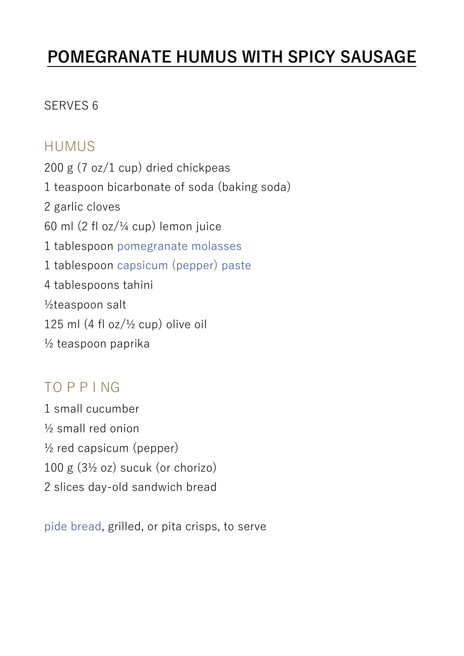## **POMEGRANATE HUMUS WITH SPICY SAUSAGE**

## SERVES 6

## HUMUS

200 g (7 oz/1 cup) dried chickpeas 1 teaspoon bicarbonate of soda (baking soda) 2 garlic cloves 60 ml (2 fl oz/¼ cup) lemon juice 1 tablespoon pomegranate molasses 1 tablespoon capsicum (pepper) paste 4 tablespoons tahini ½teaspoon salt 125 ml  $(4 \text{ fl oz}/\frac{1}{2} \text{ cup})$  olive oil ½ teaspoon paprika

## TO P P I NG

1 small cucumber ½ small red onion  $\frac{1}{2}$  red capsicum (pepper) 100 g (3½ oz) sucuk (or chorizo) 2 slices day-old sandwich bread

pide bread, grilled, or pita crisps, to serve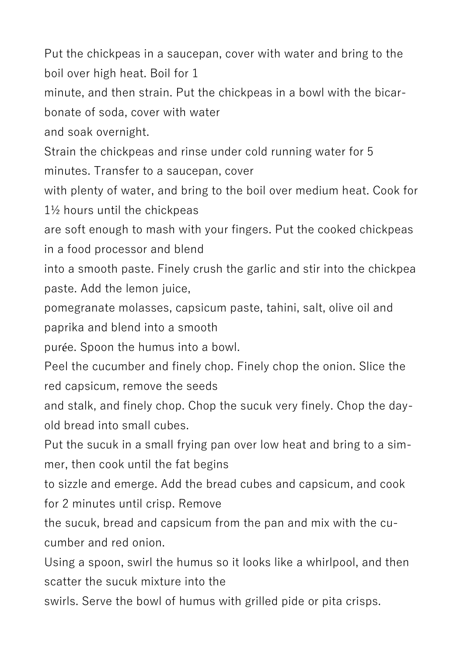Put the chickpeas in a saucepan, cover with water and bring to the boil over high heat. Boil for 1

minute, and then strain. Put the chickpeas in a bowl with the bicar-

bonate of soda, cover with water

and soak overnight.

Strain the chickpeas and rinse under cold running water for 5 minutes. Transfer to a saucepan, cover

with plenty of water, and bring to the boil over medium heat. Cook for 1½ hours until the chickpeas

are soft enough to mash with your fingers. Put the cooked chickpeas in a food processor and blend

into a smooth paste. Finely crush the garlic and stir into the chickpea paste. Add the lemon juice,

pomegranate molasses, capsicum paste, tahini, salt, olive oil and paprika and blend into a smooth

purée. Spoon the humus into a bowl.

Peel the cucumber and finely chop. Finely chop the onion. Slice the red capsicum, remove the seeds

and stalk, and finely chop. Chop the sucuk very finely. Chop the dayold bread into small cubes.

Put the sucuk in a small frying pan over low heat and bring to a simmer, then cook until the fat begins

to sizzle and emerge. Add the bread cubes and capsicum, and cook for 2 minutes until crisp. Remove

the sucuk, bread and capsicum from the pan and mix with the cucumber and red onion.

Using a spoon, swirl the humus so it looks like a whirlpool, and then scatter the sucuk mixture into the

swirls. Serve the bowl of humus with grilled pide or pita crisps.